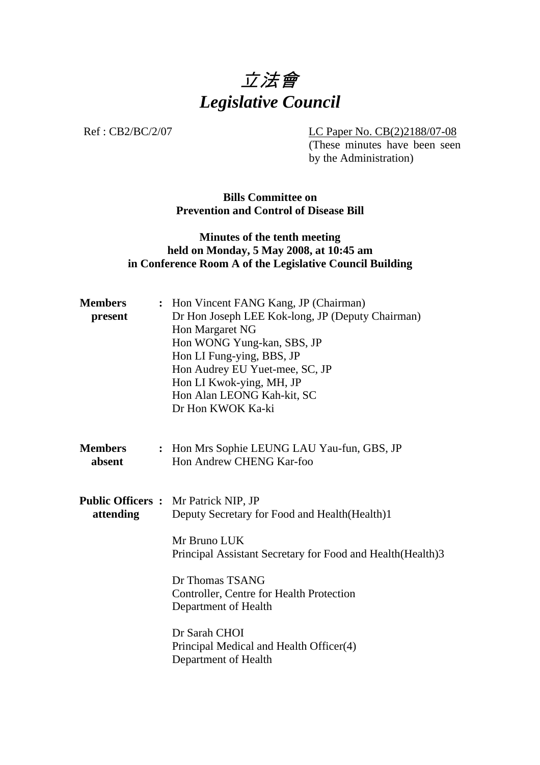

Ref : CB2/BC/2/07 LC Paper No. CB(2)2188/07-08 (These minutes have been seen by the Administration)

> **Bills Committee on Prevention and Control of Disease Bill**

# **Minutes of the tenth meeting held on Monday, 5 May 2008, at 10:45 am in Conference Room A of the Legislative Council Building**

| <b>Members</b><br>present | : Hon Vincent FANG Kang, JP (Chairman)<br>Dr Hon Joseph LEE Kok-long, JP (Deputy Chairman)<br>Hon Margaret NG<br>Hon WONG Yung-kan, SBS, JP<br>Hon LI Fung-ying, BBS, JP<br>Hon Audrey EU Yuet-mee, SC, JP<br>Hon LI Kwok-ying, MH, JP<br>Hon Alan LEONG Kah-kit, SC<br>Dr Hon KWOK Ka-ki |  |  |
|---------------------------|-------------------------------------------------------------------------------------------------------------------------------------------------------------------------------------------------------------------------------------------------------------------------------------------|--|--|
| <b>Members</b><br>absent  | : Hon Mrs Sophie LEUNG LAU Yau-fun, GBS, JP<br>Hon Andrew CHENG Kar-foo                                                                                                                                                                                                                   |  |  |
| attending                 | <b>Public Officers :</b> Mr Patrick NIP, JP<br>Deputy Secretary for Food and Health (Health)1<br>Mr Bruno LUK<br>Principal Assistant Secretary for Food and Health (Health) 3                                                                                                             |  |  |
|                           | Dr Thomas TSANG<br>Controller, Centre for Health Protection<br>Department of Health                                                                                                                                                                                                       |  |  |
|                           | Dr Sarah CHOI<br>Principal Medical and Health Officer(4)<br>Department of Health                                                                                                                                                                                                          |  |  |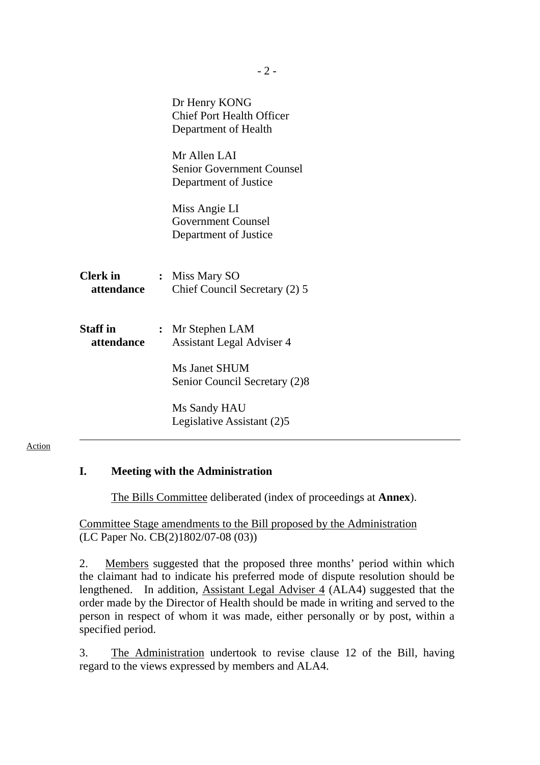|                               |                | Dr Henry KONG<br><b>Chief Port Health Officer</b><br>Department of Health |
|-------------------------------|----------------|---------------------------------------------------------------------------|
|                               |                | Mr Allen LAI<br><b>Senior Government Counsel</b><br>Department of Justice |
|                               |                | Miss Angie LI<br><b>Government Counsel</b><br>Department of Justice       |
| <b>Clerk</b> in<br>attendance |                | : Miss Mary SO<br>Chief Council Secretary (2) 5                           |
| <b>Staff</b> in<br>attendance | $\ddot{\cdot}$ | Mr Stephen LAM<br><b>Assistant Legal Adviser 4</b>                        |
|                               |                | Ms Janet SHUM<br>Senior Council Secretary (2)8                            |
|                               |                | Ms Sandy HAU<br>Legislative Assistant (2)5                                |

#### Action

### **I. Meeting with the Administration**

The Bills Committee deliberated (index of proceedings at **Annex**).

Committee Stage amendments to the Bill proposed by the Administration (LC Paper No. CB(2)1802/07-08 (03))

2. Members suggested that the proposed three months' period within which the claimant had to indicate his preferred mode of dispute resolution should be lengthened. In addition, Assistant Legal Adviser 4 (ALA4) suggested that the order made by the Director of Health should be made in writing and served to the person in respect of whom it was made, either personally or by post, within a specified period.

3. The Administration undertook to revise clause 12 of the Bill, having regard to the views expressed by members and ALA4.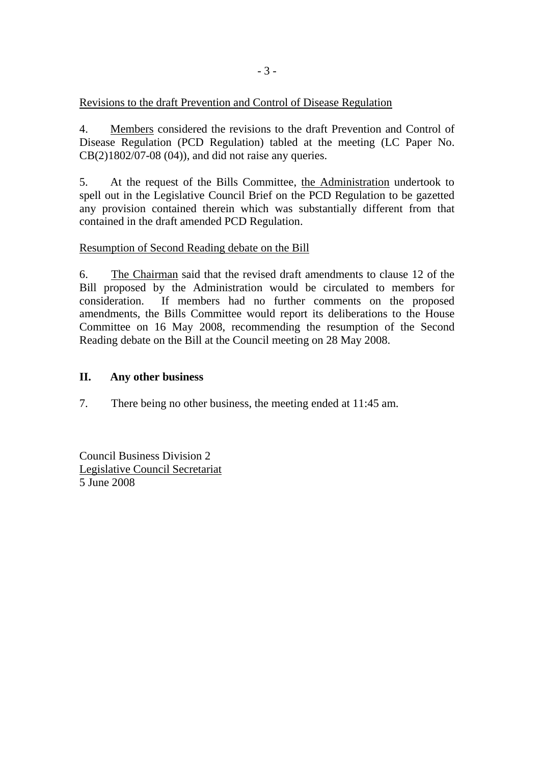# Revisions to the draft Prevention and Control of Disease Regulation

4. Members considered the revisions to the draft Prevention and Control of Disease Regulation (PCD Regulation) tabled at the meeting (LC Paper No. CB(2)1802/07-08 (04)), and did not raise any queries.

5. At the request of the Bills Committee, the Administration undertook to spell out in the Legislative Council Brief on the PCD Regulation to be gazetted any provision contained therein which was substantially different from that contained in the draft amended PCD Regulation.

#### Resumption of Second Reading debate on the Bill

6. The Chairman said that the revised draft amendments to clause 12 of the Bill proposed by the Administration would be circulated to members for consideration. If members had no further comments on the proposed amendments, the Bills Committee would report its deliberations to the House Committee on 16 May 2008, recommending the resumption of the Second Reading debate on the Bill at the Council meeting on 28 May 2008.

#### **II. Any other business**

7. There being no other business, the meeting ended at 11:45 am.

Council Business Division 2 Legislative Council Secretariat 5 June 2008